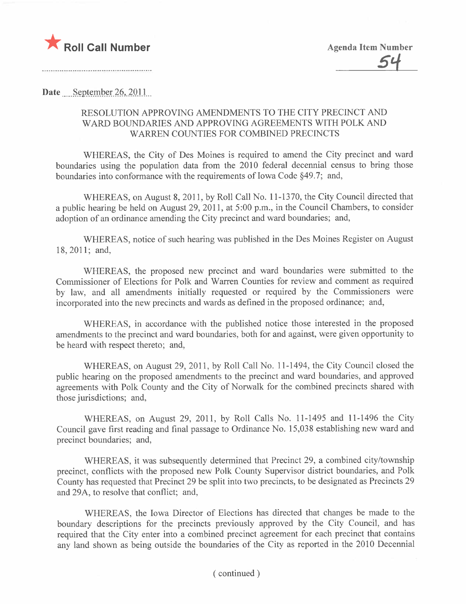

Date September 26, 2011

## RESOLUTION APPROVING AMENDMENTS TO THE CITY PRECINCT AND WARD BOUNDARIES AND APPROVING AGREEMENTS WITH POLK AND WARREN COUNTIES FOR COMBINED PRECINCTS

WHEREAS, the City of Des Moines is required to amend the City precinct and ward boundaries using the population data from the 2010 federal decennial census to bring those boundaries into conformance with the requirements of Iowa Code §49.7; and,

WHEREAS, on August 8, 2011, by Roll Call No. 11-1370, the City Council directed that a public hearing be held on August 29, 2011, at 5:00 p.m., in the Council Chambers, to consider adoption of an ordinance amending the City precinct and ward boundaries; and,

WHEREAS, notice of such hearing was published in the Des Moines Register on August 18,2011; and,

WHEREAS, the proposed new precinct and ward boundaries were submitted to the Commissioner of Elections for Polk and Warren Counties for review and comment as required by law, and all amendments initially requested or required by the Commissioners were incorporated into the new precincts and wards as defined in the proposed ordinance; and,

WHEREAS, in accordance with the published notice those interested in the proposed amendments to the precinct and ward boundaries, both for and against, were given opportunity to be heard with respect thereto; and,

WHEREAS, on August 29,2011, by Roll Call No. 11-1494, the City Council closed the public hearing on the proposed amendments to the precinct and ward boundaries, and approved agreements with Polk County and the City of Norwalk for the combined precincts shared with those jurisdictions; and,

WHEREAS, on August 29, 2011, by Roll Calls No. 11-1495 and 11-1496 the City Council gave first reading and final passage to Ordinance No. 15,038 establishing new ward and precinct boundaries; and,

WHEREAS, it was subsequently determined that Precinct 29, a combined city/township precinct, conflicts with the proposed new Polk County Supervisor district boundaries, and Polk County has requested that Precinct 29 be split into two precincts, to be designated as Precincts 29 and 29A, to resolve that conflict; and,

WHEREAS, the Iowa Director of Elections has directed that changes be made to the boundary descriptions for the precincts previously approved by the City Council, and has required that the City enter into a combined precinct agreement for each precinct that contains any land shown as being outside the boundaries of the City as reported in the 2010 Decennial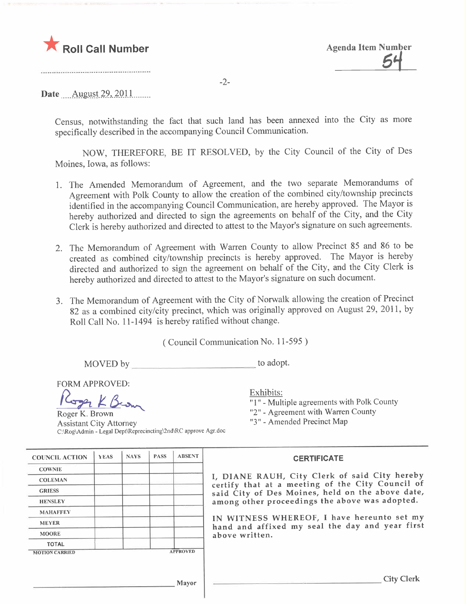

-2-

Date August 29, 2011

Census, notwithstanding the fact that such land has been annexed into the City as more specifically described in the accompanying Council Communication.

NOW, THEREFORE, BE IT RESOLVED, by the City Council of the City of Des Moines, Iowa, as follows:

- 1. The Amended Memorandum of Agreement, and the two separate Memorandums of Agreement with Polk County to allow the creation of the combined city/township precincts identified in the accompanying Council Communication, are hereby approved. The Mayor is hereby authorized and directed to sign the agreements on behalf of the City, and the City Clerk is hereby authorized and directed to attest to the Mayor's signature on such agreements.
- 2. The Memorandum of Agreement with Warren County to allow Precinct 85 and 86 to be created as combined city/township precincts is hereby approved. The Mayor is hereby directed and authorized to sign the agreement on behalf of the City, and the City Clerk is hereby authorized and directed to attest to the Mayor's signature on such document.
- 3. The Memorandum of Agreement with the City of Norwalk allowing the creation of Precinct 82 as a combined city/city precinct, which was originally approved on August 29, 2011, by Roll Call No. 11-1494 is hereby ratified without change.

( Council Communication No. 11-595 )

MOVED by to adopt.

FORM APPROVED:

ORM APPROVED:<br>Corm APPROVED:<br>Roger K. Brown

Roger K. Brown Assistant City Attorney C:\Rog\Admin - Legal Dept\Reprecincting\2nd\RC approve Agr.doc Exhibits: "I" - Multiple agreements with Polk County "2" - Agreement with Warren County "3" - Amended Precinct Map

| <b>COUNCIL ACTION</b> | YEAS | <b>NAYS</b> | <b>PASS</b> | <b>ABSENT</b>   | <b>CERTIFICATE</b>                                                                                                                                                                                      |  |  |
|-----------------------|------|-------------|-------------|-----------------|---------------------------------------------------------------------------------------------------------------------------------------------------------------------------------------------------------|--|--|
| <b>COWNIE</b>         |      |             |             |                 |                                                                                                                                                                                                         |  |  |
| <b>COLEMAN</b>        |      |             |             |                 | I, DIANE RAUH, City Clerk of said City hereby<br>certify that at a meeting of the City Council of<br>said City of Des Moines, held on the above date,<br>among other proceedings the above was adopted. |  |  |
| <b>GRIESS</b>         |      |             |             |                 |                                                                                                                                                                                                         |  |  |
| <b>HENSLEY</b>        |      |             |             |                 |                                                                                                                                                                                                         |  |  |
| <b>MAHAFFEY</b>       |      |             |             |                 |                                                                                                                                                                                                         |  |  |
| <b>MEYER</b>          |      |             |             |                 | IN WITNESS WHEREOF, I have hereunto set my<br>hand and affixed my seal the day and year first                                                                                                           |  |  |
| <b>MOORE</b>          |      |             |             |                 | above written.                                                                                                                                                                                          |  |  |
| <b>TOTAL</b>          |      |             |             |                 |                                                                                                                                                                                                         |  |  |
| <b>MOTION CARRIED</b> |      |             |             | <b>APPROVED</b> |                                                                                                                                                                                                         |  |  |
|                       |      |             |             |                 |                                                                                                                                                                                                         |  |  |
| Mayor                 |      |             |             |                 | <b>City Clerk</b>                                                                                                                                                                                       |  |  |